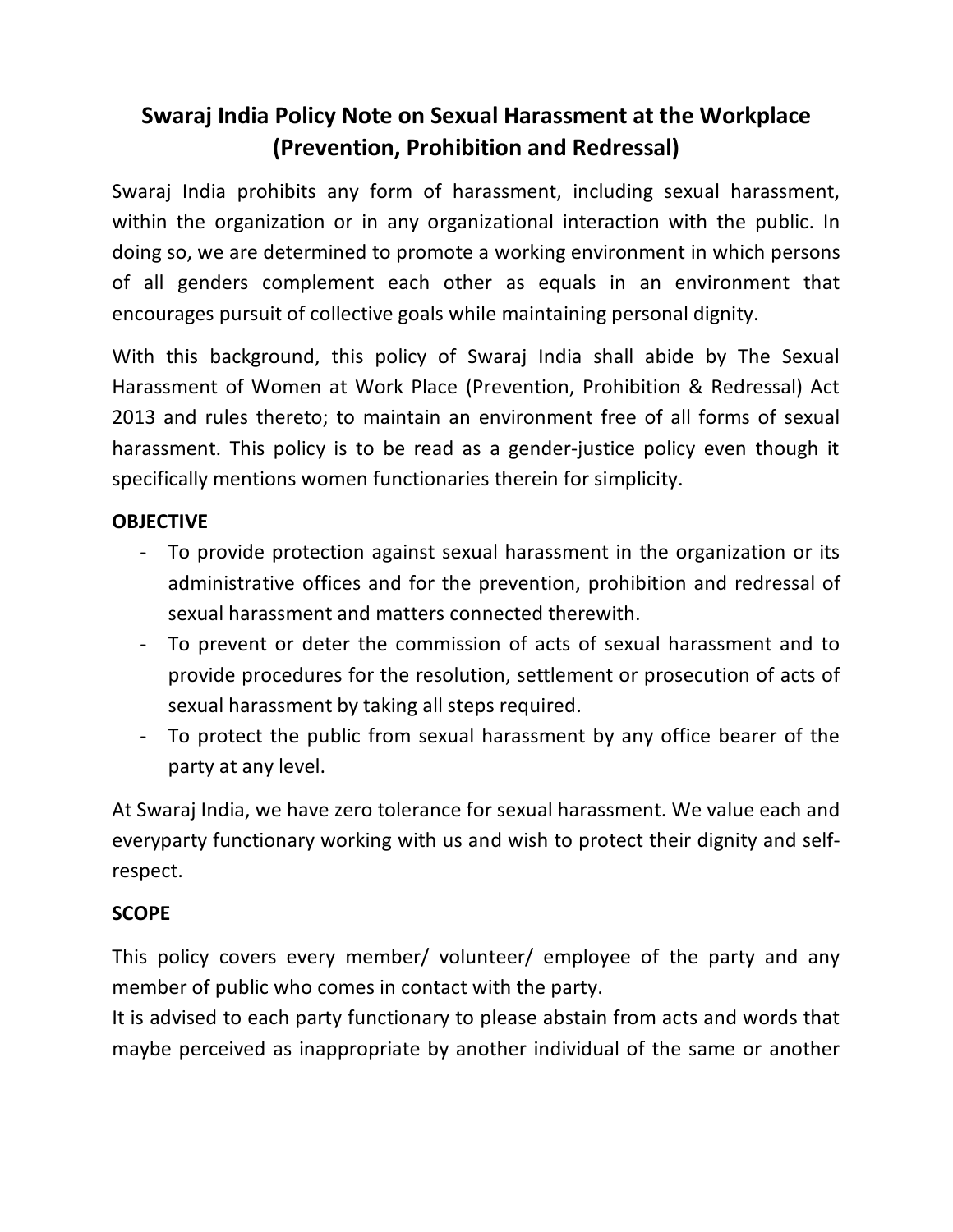# **Swaraj India Policy Note on Sexual Harassment at the Workplace (Prevention, Prohibition and Redressal)**

Swaraj India prohibits any form of harassment, including sexual harassment, within the organization or in any organizational interaction with the public. In doing so, we are determined to promote a working environment in which persons of all genders complement each other as equals in an environment that encourages pursuit of collective goals while maintaining personal dignity.

With this background, this policy of Swaraj India shall abide by The Sexual Harassment of Women at Work Place (Prevention, Prohibition & Redressal) Act 2013 and rules thereto; to maintain an environment free of all forms of sexual harassment. This policy is to be read as a gender-justice policy even though it specifically mentions women functionaries therein for simplicity.

## **OBJECTIVE**

- To provide protection against sexual harassment in the organization or its administrative offices and for the prevention, prohibition and redressal of sexual harassment and matters connected therewith.
- To prevent or deter the commission of acts of sexual harassment and to provide procedures for the resolution, settlement or prosecution of acts of sexual harassment by taking all steps required.
- To protect the public from sexual harassment by any office bearer of the party at any level.

At Swaraj India, we have zero tolerance for sexual harassment. We value each and everyparty functionary working with us and wish to protect their dignity and selfrespect.

## **SCOPE**

This policy covers every member/ volunteer/ employee of the party and any member of public who comes in contact with the party.

It is advised to each party functionary to please abstain from acts and words that maybe perceived as inappropriate by another individual of the same or another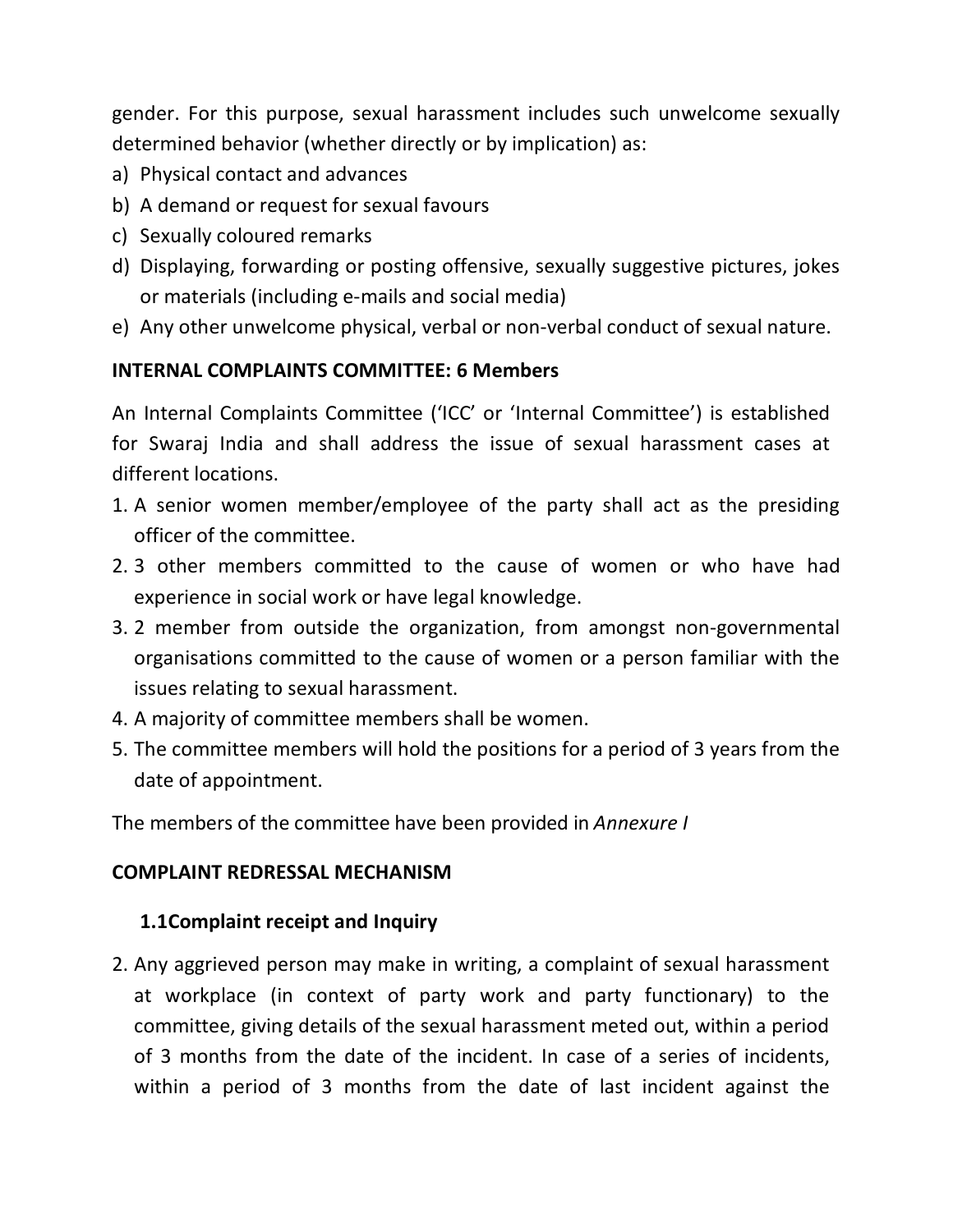gender. For this purpose, sexual harassment includes such unwelcome sexually determined behavior (whether directly or by implication) as:

- a) Physical contact and advances
- b) A demand or request for sexual favours
- c) Sexually coloured remarks
- d) Displaying, forwarding or posting offensive, sexually suggestive pictures, jokes or materials (including e-mails and social media)
- e) Any other unwelcome physical, verbal or non-verbal conduct of sexual nature.

# **INTERNAL COMPLAINTS COMMITTEE: 6 Members**

An Internal Complaints Committee ('ICC' or 'Internal Committee') is established for Swaraj India and shall address the issue of sexual harassment cases at different locations.

- 1. A senior women member/employee of the party shall act as the presiding officer of the committee.
- 2. 3 other members committed to the cause of women or who have had experience in social work or have legal knowledge.
- 3. 2 member from outside the organization, from amongst non-governmental organisations committed to the cause of women or a person familiar with the issues relating to sexual harassment.
- 4. A majority of committee members shall be women.
- 5. The committee members will hold the positions for a period of 3 years from the date of appointment.

The members of the committee have been provided in *Annexure I*

# **COMPLAINT REDRESSAL MECHANISM**

# **1.1Complaint receipt and Inquiry**

2. Any aggrieved person may make in writing, a complaint of sexual harassment at workplace (in context of party work and party functionary) to the committee, giving details of the sexual harassment meted out, within a period of 3 months from the date of the incident. In case of a series of incidents, within a period of 3 months from the date of last incident against the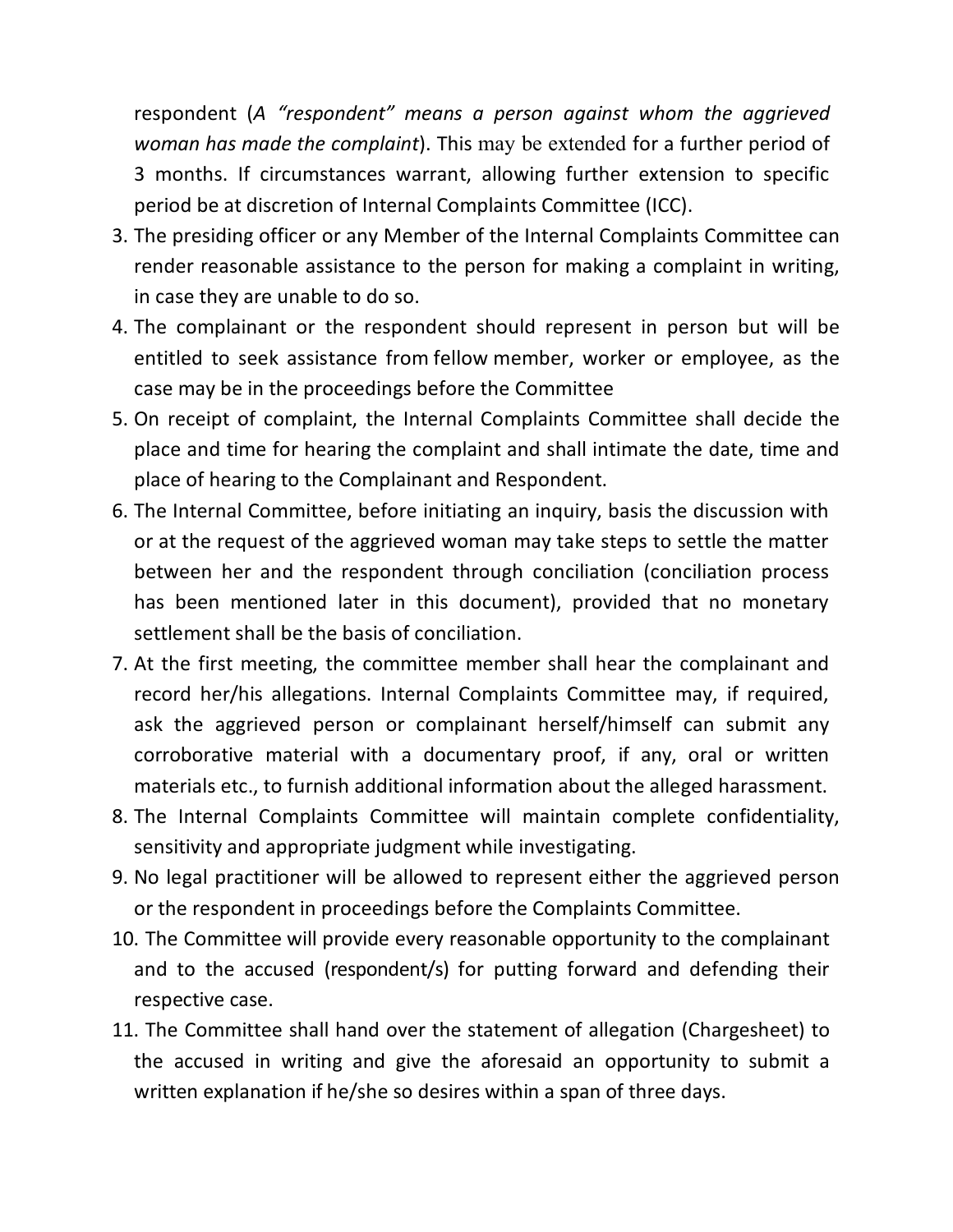respondent (*A "respondent" means a person against whom the aggrieved woman has made the complaint*). This may be extended for a further period of 3 months. If circumstances warrant, allowing further extension to specific period be at discretion of Internal Complaints Committee (ICC).

- 3. The presiding officer or any Member of the Internal Complaints Committee can render reasonable assistance to the person for making a complaint in writing, in case they are unable to do so.
- 4. The complainant or the respondent should represent in person but will be entitled to seek assistance from fellow member, worker or employee, as the case may be in the proceedings before the Committee
- 5. On receipt of complaint, the Internal Complaints Committee shall decide the place and time for hearing the complaint and shall intimate the date, time and place of hearing to the Complainant and Respondent.
- 6. The Internal Committee, before initiating an inquiry, basis the discussion with or at the request of the aggrieved woman may take steps to settle the matter between her and the respondent through conciliation (conciliation process has been mentioned later in this document), provided that no monetary settlement shall be the basis of conciliation.
- 7. At the first meeting, the committee member shall hear the complainant and record her/his allegations. Internal Complaints Committee may, if required, ask the aggrieved person or complainant herself/himself can submit any corroborative material with a documentary proof, if any, oral or written materials etc., to furnish additional information about the alleged harassment.
- 8. The Internal Complaints Committee will maintain complete confidentiality, sensitivity and appropriate judgment while investigating.
- 9. No legal practitioner will be allowed to represent either the aggrieved person or the respondent in proceedings before the Complaints Committee.
- 10. The Committee will provide every reasonable opportunity to the complainant and to the accused (respondent/s) for putting forward and defending their respective case.
- 11. The Committee shall hand over the statement of allegation (Chargesheet) to the accused in writing and give the aforesaid an opportunity to submit a written explanation if he/she so desires within a span of three days.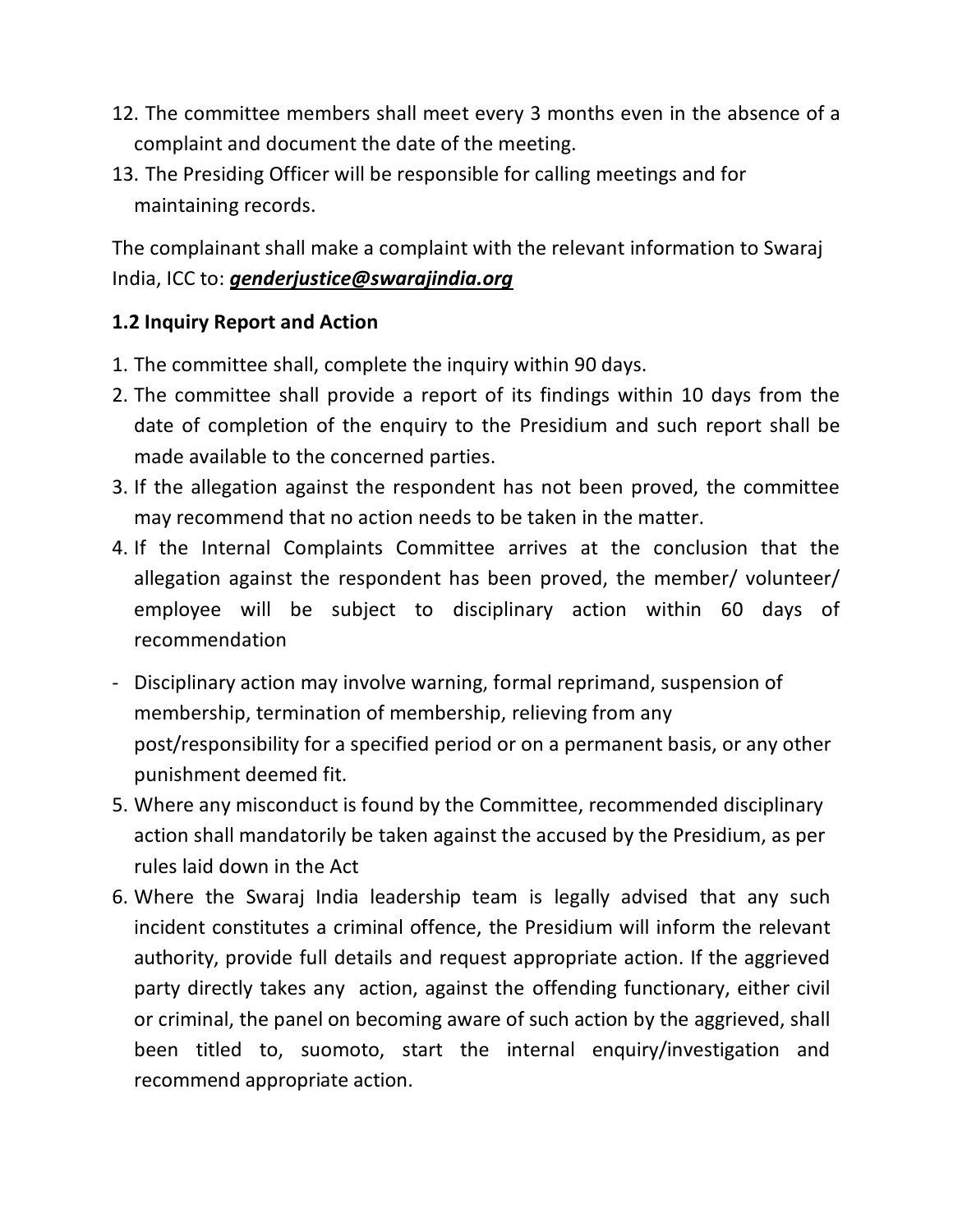- 12. The committee members shall meet every 3 months even in the absence of a complaint and document the date of the meeting.
- 13. The Presiding Officer will be responsible for calling meetings and for maintaining records.

The complainant shall make a complaint with the relevant information to Swaraj India, ICC to: *genderjustice@swarajindia.org*

#### **1.2 Inquiry Report and Action**

- 1. The committee shall, complete the inquiry within 90 days.
- 2. The committee shall provide a report of its findings within 10 days from the date of completion of the enquiry to the Presidium and such report shall be made available to the concerned parties.
- 3. If the allegation against the respondent has not been proved, the committee may recommend that no action needs to be taken in the matter.
- 4. If the Internal Complaints Committee arrives at the conclusion that the allegation against the respondent has been proved, the member/ volunteer/ employee will be subject to disciplinary action within 60 days of recommendation
- Disciplinary action may involve warning, formal reprimand, suspension of membership, termination of membership, relieving from any post/responsibility for a specified period or on a permanent basis, or any other punishment deemed fit.
- 5. Where any misconduct is found by the Committee, recommended disciplinary action shall mandatorily be taken against the accused by the Presidium, as per rules laid down in the Act
- 6. Where the Swaraj India leadership team is legally advised that any such incident constitutes a criminal offence, the Presidium will inform the relevant authority, provide full details and request appropriate action. If the aggrieved party directly takes any action, against the offending functionary, either civil or criminal, the panel on becoming aware of such action by the aggrieved, shall been titled to, suomoto, start the internal enquiry/investigation and recommend appropriate action.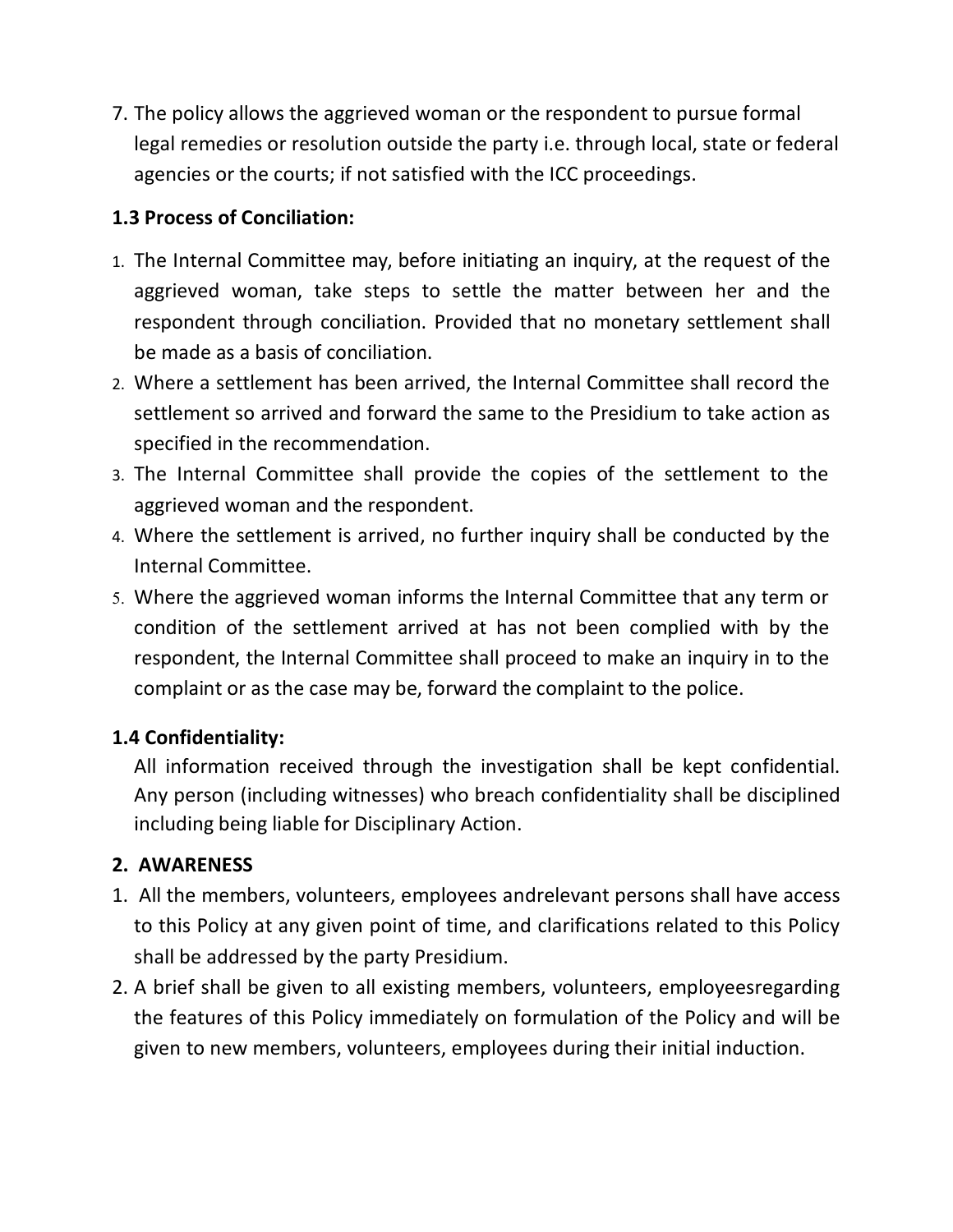7. The policy allows the aggrieved woman or the respondent to pursue formal legal remedies or resolution outside the party i.e. through local, state or federal agencies or the courts; if not satisfied with the ICC proceedings.

# **1.3 Process of Conciliation:**

- 1. The Internal Committee may, before initiating an inquiry, at the request of the aggrieved woman, take steps to settle the matter between her and the respondent through conciliation. Provided that no monetary settlement shall be made as a basis of conciliation.
- 2. Where a settlement has been arrived, the Internal Committee shall record the settlement so arrived and forward the same to the Presidium to take action as specified in the recommendation.
- 3. The Internal Committee shall provide the copies of the settlement to the aggrieved woman and the respondent.
- 4. Where the settlement is arrived, no further inquiry shall be conducted by the Internal Committee.
- 5. Where the aggrieved woman informs the Internal Committee that any term or condition of the settlement arrived at has not been complied with by the respondent, the Internal Committee shall proceed to make an inquiry in to the complaint or as the case may be, forward the complaint to the police.

# **1.4 Confidentiality:**

All information received through the investigation shall be kept confidential. Any person (including witnesses) who breach confidentiality shall be disciplined including being liable for Disciplinary Action.

## **2. AWARENESS**

- 1. All the members, volunteers, employees andrelevant persons shall have access to this Policy at any given point of time, and clarifications related to this Policy shall be addressed by the party Presidium.
- 2. A brief shall be given to all existing members, volunteers, employeesregarding the features of this Policy immediately on formulation of the Policy and will be given to new members, volunteers, employees during their initial induction.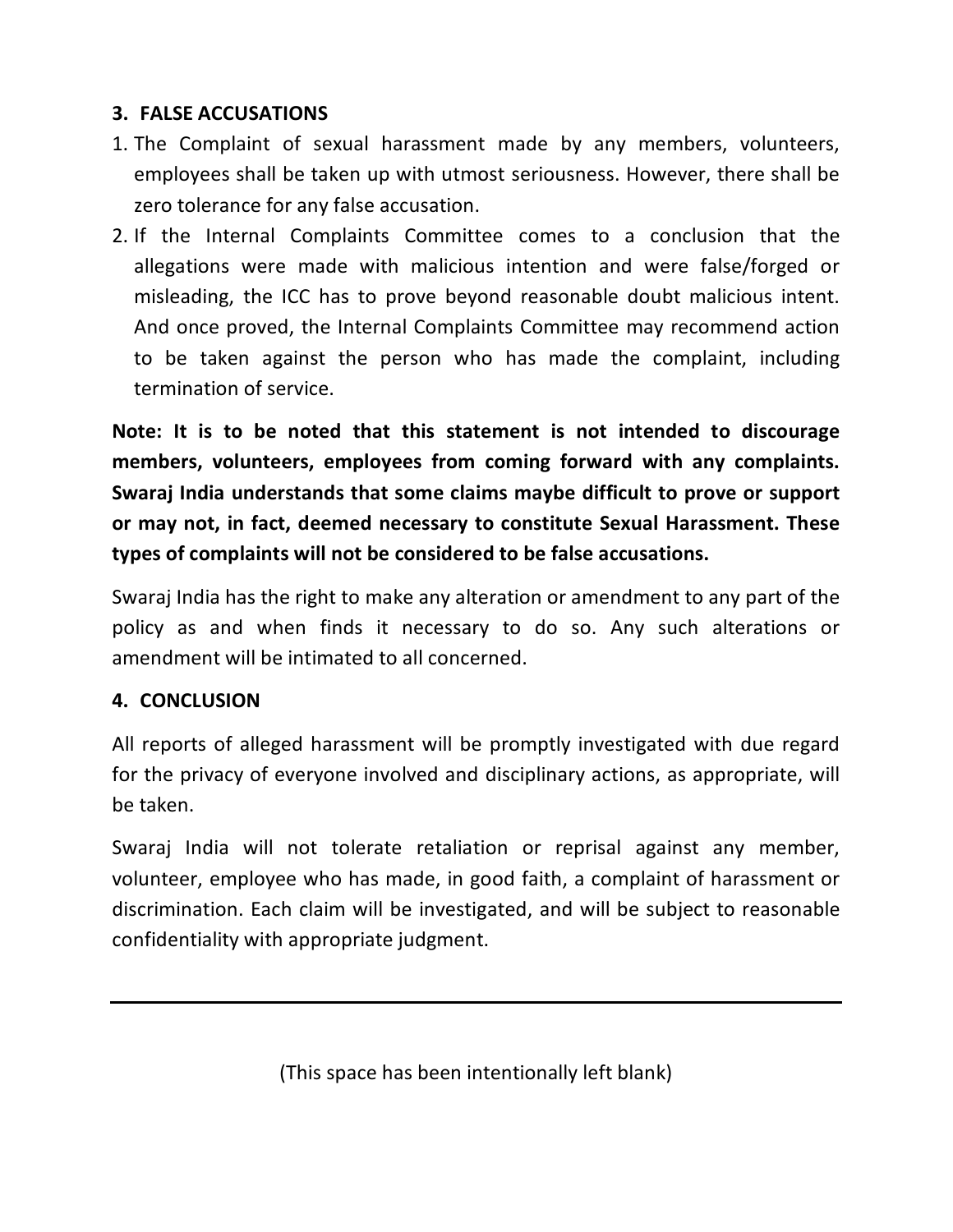#### **3. FALSE ACCUSATIONS**

- 1. The Complaint of sexual harassment made by any members, volunteers, employees shall be taken up with utmost seriousness. However, there shall be zero tolerance for any false accusation.
- 2. If the Internal Complaints Committee comes to a conclusion that the allegations were made with malicious intention and were false/forged or misleading, the ICC has to prove beyond reasonable doubt malicious intent. And once proved, the Internal Complaints Committee may recommend action to be taken against the person who has made the complaint, including termination of service.

**Note: It is to be noted that this statement is not intended to discourage members, volunteers, employees from coming forward with any complaints. Swaraj India understands that some claims maybe difficult to prove or support or may not, in fact, deemed necessary to constitute Sexual Harassment. These types of complaints will not be considered to be false accusations.**

Swaraj India has the right to make any alteration or amendment to any part of the policy as and when finds it necessary to do so. Any such alterations or amendment will be intimated to all concerned.

#### **4. CONCLUSION**

All reports of alleged harassment will be promptly investigated with due regard for the privacy of everyone involved and disciplinary actions, as appropriate, will be taken.

Swaraj India will not tolerate retaliation or reprisal against any member, volunteer, employee who has made, in good faith, a complaint of harassment or discrimination. Each claim will be investigated, and will be subject to reasonable confidentiality with appropriate judgment.

(This space has been intentionally left blank)